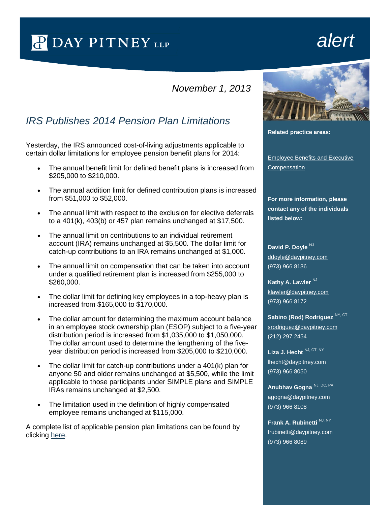P DAY PITNEY LLP

## *alert*

## *November 1, 2013*

## *IRS Publishes 2014 Pension Plan Limitations*

Yesterday, the IRS announced cost-of-living adjustments applicable to certain dollar limitations for employee pension benefit plans for 2014:

- The annual benefit limit for defined benefit plans is increased from \$205,000 to \$210,000.
- The annual addition limit for defined contribution plans is increased from \$51,000 to \$52,000.
- The annual limit with respect to the exclusion for elective deferrals to a 401(k), 403(b) or 457 plan remains unchanged at \$17,500.
- The annual limit on contributions to an individual retirement account (IRA) remains unchanged at \$5,500. The dollar limit for catch-up contributions to an IRA remains unchanged at \$1,000.
- The annual limit on compensation that can be taken into account under a qualified retirement plan is increased from \$255,000 to \$260,000.
- The dollar limit for defining key employees in a top-heavy plan is increased from \$165,000 to \$170,000.
- The dollar amount for determining the maximum account balance in an employee stock ownership plan (ESOP) subject to a five-year distribution period is increased from \$1,035,000 to \$1,050,000. The dollar amount used to determine the lengthening of the fiveyear distribution period is increased from \$205,000 to \$210,000.
- The dollar limit for catch-up contributions under a 401(k) plan for anyone 50 and older remains unchanged at \$5,500, while the limit applicable to those participants under SIMPLE plans and SIMPLE IRAs remains unchanged at \$2,500.
- The limitation used in the definition of highly compensated employee remains unchanged at \$115,000.

A complete list of applicable pension plan limitations can be found by clicking [here.](http://www.irs.gov/uac/IRS-Announces-2014-Pension-Plan-Limitations;-Taxpayers-May-Contribute-up-to-$17,500-to-their-401(k)-plans-in-2014)



**Related practice areas:**

[Employee Benefits and Executive](http://www.daypitney.com/practices/practice-detail.aspx?pid=30)  **[Compensation](http://www.daypitney.com/practices/practice-detail.aspx?pid=30)** 

**For more information, please contact any of the individuals listed below:**

David P. Dovle<sup>NJ</sup> [ddoyle@daypitney.com](mailto:ddoyle@daypitney.com) (973) 966 8136

**Kathy A. Lawler NJ** [klawler@daypitney.com](mailto:klawler@daypitney.com) (973) 966 8172

Sabino (Rod) Rodriguez<sup>NY, CT</sup> [srodriguez@daypitney.com](mailto:srodriguez@daypitney.com) (212) 297 2454

Liza J. Hecht NJ, CT, NY [lhecht@daypitney.com](mailto:lhecht@daypitney.com) (973) 966 8050

**Anubhav Gogna** NJ, DC, PA [agogna@daypitney.com](mailto:agogna@daypitney.com) (973) 966 8108

**Frank A. Rubinetti** NJ, NY [frubinetti@daypitney.com](mailto:frubinetti@daypitney.com)  (973) 966 8089